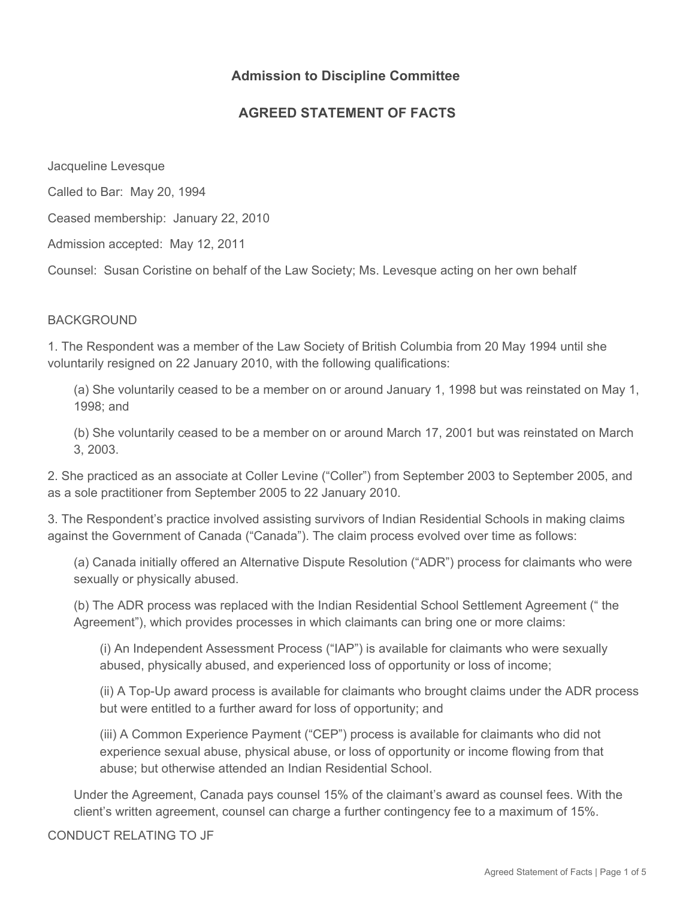# **Admission to Discipline Committee**

# **AGREED STATEMENT OF FACTS**

Jacqueline Levesque

Called to Bar: May 20, 1994

Ceased membership: January 22, 2010

Admission accepted: May 12, 2011

Counsel: Susan Coristine on behalf of the Law Society; Ms. Levesque acting on her own behalf

## **BACKGROUND**

1. The Respondent was a member of the Law Society of British Columbia from 20 May 1994 until she voluntarily resigned on 22 January 2010, with the following qualifications:

(a) She voluntarily ceased to be a member on or around January 1, 1998 but was reinstated on May 1, 1998; and

(b) She voluntarily ceased to be a member on or around March 17, 2001 but was reinstated on March 3, 2003.

2. She practiced as an associate at Coller Levine ("Coller") from September 2003 to September 2005, and as a sole practitioner from September 2005 to 22 January 2010.

3. The Respondent's practice involved assisting survivors of Indian Residential Schools in making claims against the Government of Canada ("Canada"). The claim process evolved over time as follows:

(a) Canada initially offered an Alternative Dispute Resolution ("ADR") process for claimants who were sexually or physically abused.

(b) The ADR process was replaced with the Indian Residential School Settlement Agreement (" the Agreement"), which provides processes in which claimants can bring one or more claims:

(i) An Independent Assessment Process ("IAP") is available for claimants who were sexually abused, physically abused, and experienced loss of opportunity or loss of income;

(ii) A Top-Up award process is available for claimants who brought claims under the ADR process but were entitled to a further award for loss of opportunity; and

(iii) A Common Experience Payment ("CEP") process is available for claimants who did not experience sexual abuse, physical abuse, or loss of opportunity or income flowing from that abuse; but otherwise attended an Indian Residential School.

Under the Agreement, Canada pays counsel 15% of the claimant's award as counsel fees. With the client's written agreement, counsel can charge a further contingency fee to a maximum of 15%.

### CONDUCT RELATING TO JF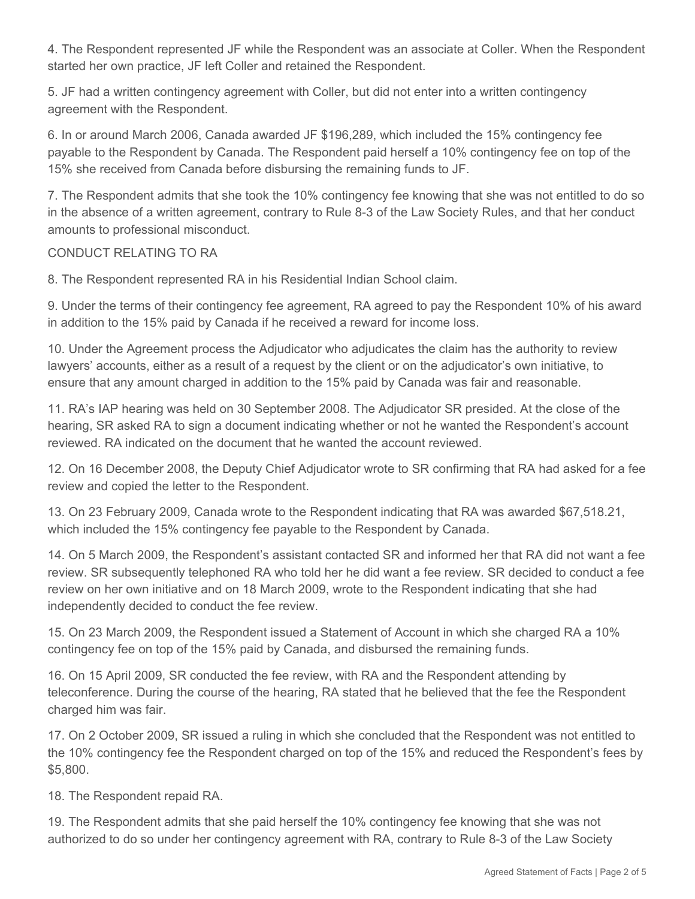4. The Respondent represented JF while the Respondent was an associate at Coller. When the Respondent started her own practice, JF left Coller and retained the Respondent.

5. JF had a written contingency agreement with Coller, but did not enter into a written contingency agreement with the Respondent.

6. In or around March 2006, Canada awarded JF \$196,289, which included the 15% contingency fee payable to the Respondent by Canada. The Respondent paid herself a 10% contingency fee on top of the 15% she received from Canada before disbursing the remaining funds to JF.

7. The Respondent admits that she took the 10% contingency fee knowing that she was not entitled to do so in the absence of a written agreement, contrary to Rule 8-3 of the Law Society Rules, and that her conduct amounts to professional misconduct.

## CONDUCT RELATING TO RA

8. The Respondent represented RA in his Residential Indian School claim.

9. Under the terms of their contingency fee agreement, RA agreed to pay the Respondent 10% of his award in addition to the 15% paid by Canada if he received a reward for income loss.

10. Under the Agreement process the Adjudicator who adjudicates the claim has the authority to review lawyers' accounts, either as a result of a request by the client or on the adjudicator's own initiative, to ensure that any amount charged in addition to the 15% paid by Canada was fair and reasonable.

11. RA's IAP hearing was held on 30 September 2008. The Adjudicator SR presided. At the close of the hearing, SR asked RA to sign a document indicating whether or not he wanted the Respondent's account reviewed. RA indicated on the document that he wanted the account reviewed.

12. On 16 December 2008, the Deputy Chief Adjudicator wrote to SR confirming that RA had asked for a fee review and copied the letter to the Respondent.

13. On 23 February 2009, Canada wrote to the Respondent indicating that RA was awarded \$67,518.21, which included the 15% contingency fee payable to the Respondent by Canada.

14. On 5 March 2009, the Respondent's assistant contacted SR and informed her that RA did not want a fee review. SR subsequently telephoned RA who told her he did want a fee review. SR decided to conduct a fee review on her own initiative and on 18 March 2009, wrote to the Respondent indicating that she had independently decided to conduct the fee review.

15. On 23 March 2009, the Respondent issued a Statement of Account in which she charged RA a 10% contingency fee on top of the 15% paid by Canada, and disbursed the remaining funds.

16. On 15 April 2009, SR conducted the fee review, with RA and the Respondent attending by teleconference. During the course of the hearing, RA stated that he believed that the fee the Respondent charged him was fair.

17. On 2 October 2009, SR issued a ruling in which she concluded that the Respondent was not entitled to the 10% contingency fee the Respondent charged on top of the 15% and reduced the Respondent's fees by \$5,800.

18. The Respondent repaid RA.

19. The Respondent admits that she paid herself the 10% contingency fee knowing that she was not authorized to do so under her contingency agreement with RA, contrary to Rule 8-3 of the Law Society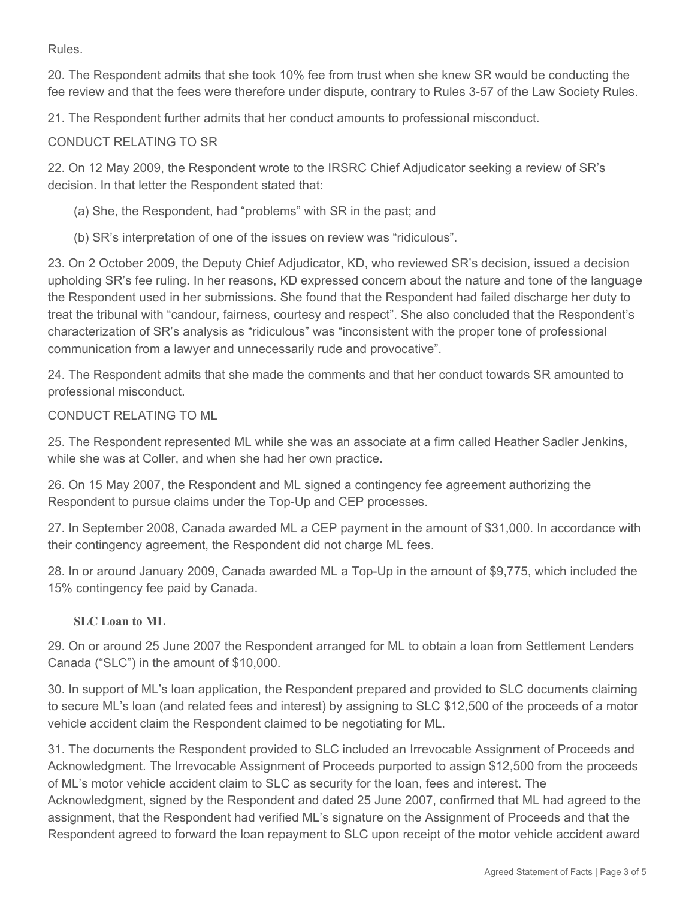Rules.

20. The Respondent admits that she took 10% fee from trust when she knew SR would be conducting the fee review and that the fees were therefore under dispute, contrary to Rules 3-57 of the Law Society Rules.

21. The Respondent further admits that her conduct amounts to professional misconduct.

CONDUCT RELATING TO SR

22. On 12 May 2009, the Respondent wrote to the IRSRC Chief Adjudicator seeking a review of SR's decision. In that letter the Respondent stated that:

(a) She, the Respondent, had "problems" with SR in the past; and

(b) SR's interpretation of one of the issues on review was "ridiculous".

23. On 2 October 2009, the Deputy Chief Adjudicator, KD, who reviewed SR's decision, issued a decision upholding SR's fee ruling. In her reasons, KD expressed concern about the nature and tone of the language the Respondent used in her submissions. She found that the Respondent had failed discharge her duty to treat the tribunal with "candour, fairness, courtesy and respect". She also concluded that the Respondent's characterization of SR's analysis as "ridiculous" was "inconsistent with the proper tone of professional communication from a lawyer and unnecessarily rude and provocative".

24. The Respondent admits that she made the comments and that her conduct towards SR amounted to professional misconduct.

CONDUCT RELATING TO ML

25. The Respondent represented ML while she was an associate at a firm called Heather Sadler Jenkins, while she was at Coller, and when she had her own practice.

26. On 15 May 2007, the Respondent and ML signed a contingency fee agreement authorizing the Respondent to pursue claims under the Top-Up and CEP processes.

27. In September 2008, Canada awarded ML a CEP payment in the amount of \$31,000. In accordance with their contingency agreement, the Respondent did not charge ML fees.

28. In or around January 2009, Canada awarded ML a Top-Up in the amount of \$9,775, which included the 15% contingency fee paid by Canada.

## **SLC Loan to ML**

29. On or around 25 June 2007 the Respondent arranged for ML to obtain a loan from Settlement Lenders Canada ("SLC") in the amount of \$10,000.

30. In support of ML's loan application, the Respondent prepared and provided to SLC documents claiming to secure ML's loan (and related fees and interest) by assigning to SLC \$12,500 of the proceeds of a motor vehicle accident claim the Respondent claimed to be negotiating for ML.

31. The documents the Respondent provided to SLC included an Irrevocable Assignment of Proceeds and Acknowledgment. The Irrevocable Assignment of Proceeds purported to assign \$12,500 from the proceeds of ML's motor vehicle accident claim to SLC as security for the loan, fees and interest. The Acknowledgment, signed by the Respondent and dated 25 June 2007, confirmed that ML had agreed to the assignment, that the Respondent had verified ML's signature on the Assignment of Proceeds and that the Respondent agreed to forward the loan repayment to SLC upon receipt of the motor vehicle accident award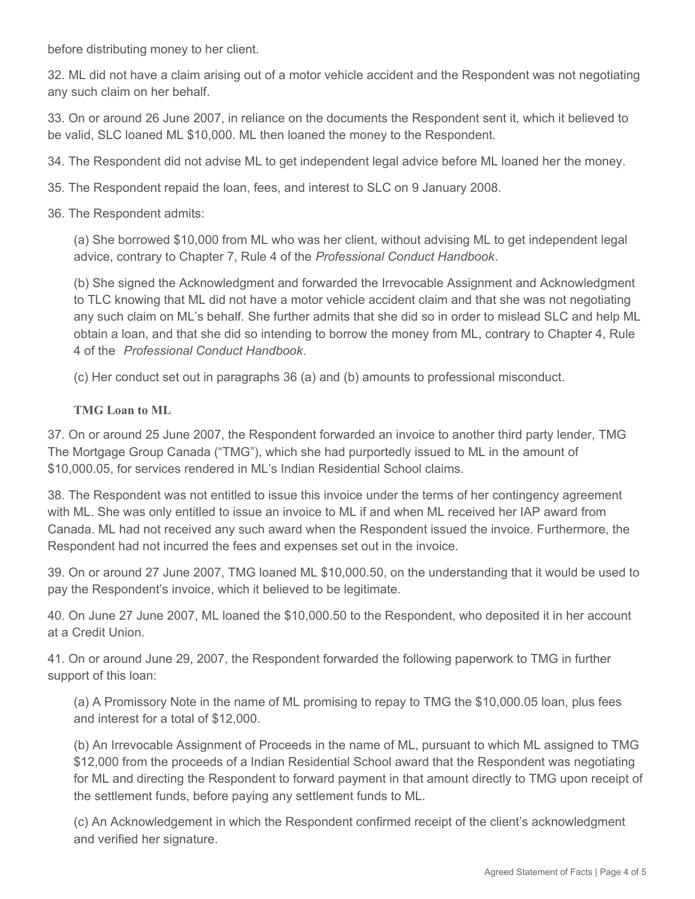before distributing money to her client.

32. ML did not have a claim arising out of a motor vehicle accident and the Respondent was not negotiating any such claim on her behalf.

33. On or around 26 June 2007, in reliance on the documents the Respondent sent it, which it believed to be valid, SLC loaned ML \$10,000. ML then loaned the money to the Respondent.

34. The Respondent did not advise ML to get independent legal advice before ML loaned her the money.

35. The Respondent repaid the loan, fees, and interest to SLC on 9 January 2008.

36. The Respondent admits:

(a) She borrowed \$10,000 from ML who was her client, without advising ML to get independent legal advice, contrary to Chapter 7, Rule 4 of the *Professional Conduct Handbook*.

(b) She signed the Acknowledgment and forwarded the Irrevocable Assignment and Acknowledgment to TLC knowing that ML did not have a motor vehicle accident claim and that she was not negotiating any such claim on ML's behalf. She further admits that she did so in order to mislead SLC and help ML obtain a loan, and that she did so intending to borrow the money from ML, contrary to Chapter 4, Rule 4 of the *Professional Conduct Handbook*.

(c) Her conduct set out in paragraphs 36 (a) and (b) amounts to professional misconduct.

### **TMG Loan to ML**

37. On or around 25 June 2007, the Respondent forwarded an invoice to another third party lender, TMG The Mortgage Group Canada ("TMG"), which she had purportedly issued to ML in the amount of \$10,000.05, for services rendered in ML's Indian Residential School claims.

38. The Respondent was not entitled to issue this invoice under the terms of her contingency agreement with ML. She was only entitled to issue an invoice to ML if and when ML received her IAP award from Canada. ML had not received any such award when the Respondent issued the invoice. Furthermore, the Respondent had not incurred the fees and expenses set out in the invoice.

39. On or around 27 June 2007, TMG loaned ML \$10,000.50, on the understanding that it would be used to pay the Respondent's invoice, which it believed to be legitimate.

40. On June 27 June 2007, ML loaned the \$10,000.50 to the Respondent, who deposited it in her account at a Credit Union.

41. On or around June 29, 2007, the Respondent forwarded the following paperwork to TMG in further support of this loan:

(a) A Promissory Note in the name of ML promising to repay to TMG the \$10,000.05 loan, plus fees and interest for a total of \$12,000.

(b) An Irrevocable Assignment of Proceeds in the name of ML, pursuant to which ML assigned to TMG \$12,000 from the proceeds of a Indian Residential School award that the Respondent was negotiating for ML and directing the Respondent to forward payment in that amount directly to TMG upon receipt of the settlement funds, before paying any settlement funds to ML.

(c) An Acknowledgement in which the Respondent confirmed receipt of the client's acknowledgment and verified her signature.